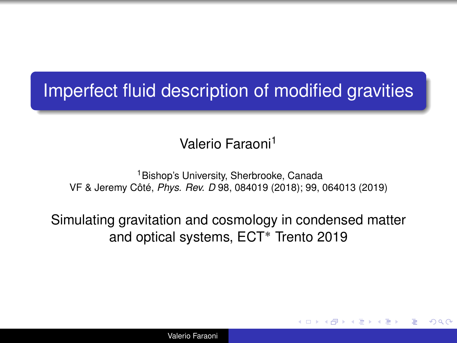## Imperfect fluid description of modified gravities

Valerio Faraoni<sup>1</sup>

<sup>1</sup>Bishop's University, Sherbrooke, Canada VF & Jeremy Côté, *Phys. Rev. D* 98, 084019 (2018); 99, 064013 (2019)

Simulating gravitation and cosmology in condensed matter and optical systems, ECT˚ Trento 2019

K ロ ⊁ K 何 ≯ K ヨ ⊁ K ヨ ⊁

つへへ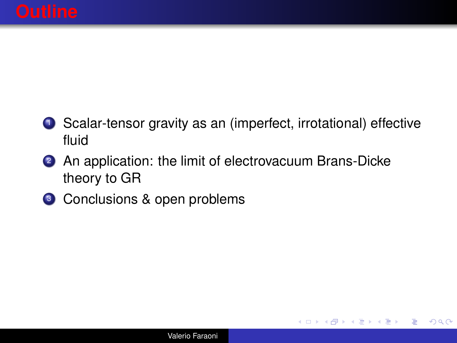**1** Scalar-tensor gravity as an (imperfect, irrotational) effective fluid

イロメ イ押メ イヨメ イヨメー

ミー  $2Q$ 

- 2 An application: the limit of electrovacuum Brans-Dicke theory to GR
- <sup>3</sup> Conclusions & open problems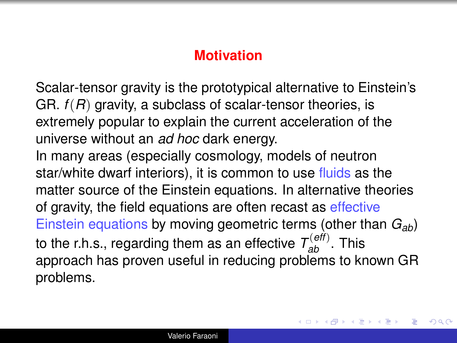#### **Motivation**

Scalar-tensor gravity is the prototypical alternative to Einstein's GR.  $f(R)$  gravity, a subclass of scalar-tensor theories, is extremely popular to explain the current acceleration of the universe without an *ad hoc* dark energy. In many areas (especially cosmology, models of neutron star/white dwarf interiors), it is common to use fluids as the matter source of the Einstein equations. In alternative theories of gravity, the field equations are often recast as effective Einstein equations by moving geometric terms (other than *Gab*) to the r.h.s., regarding them as an effective  $T_{ab}^{(eff)}$ . This approach has proven useful in reducing problems to known GR problems.

4 ロ ) (何 ) (日 ) (日 )

 $290$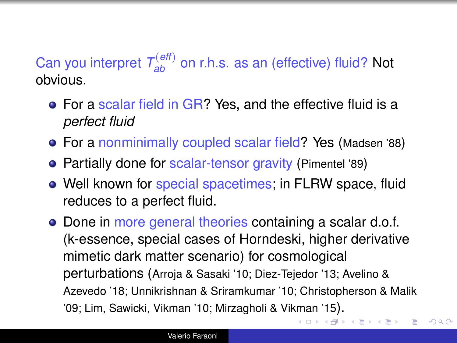### Can you interpret  $T_{ab}^{(eff)}$  on r.h.s. as an (effective) fluid? Not obvious.

- For a scalar field in GR? Yes, and the effective fluid is a *perfect fluid*
- For a nonminimally coupled scalar field? Yes (Madsen '88)
- Partially done for scalar-tensor gravity (Pimentel '89)
- Well known for special spacetimes; in FLRW space, fluid reduces to a perfect fluid.
- Done in more general theories containing a scalar d.o.f. (k-essence, special cases of Horndeski, higher derivative mimetic dark matter scenario) for cosmological perturbations (Arroja & Sasaki '10; Diez-Tejedor '13; Avelino & Azevedo '18; Unnikrishnan & Sriramkumar '10; Christopherson & Malik '09; Lim, Sawicki, Vikman '10; Mirzagholi & Vikman '15).

す重き。  $\equiv$   $2Q$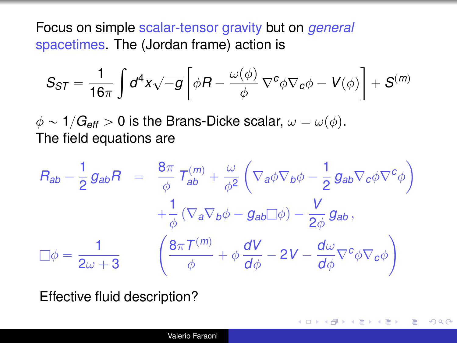<span id="page-4-0"></span>Focus on simple scalar-tensor gravity but on *general* spacetimes. The (Jordan frame) action is

$$
S_{ST} = \frac{1}{16\pi} \int d^4x \sqrt{-g} \left[ \phi R - \frac{\omega(\phi)}{\phi} \nabla^c \phi \nabla_c \phi - V(\phi) \right] + S^{(m)}
$$

 $\phi \sim 1/G_{\text{eff}} > 0$  is the Brans-Dicke scalar,  $\omega = \omega(\phi)$ . The field equations are

$$
R_{ab} - \frac{1}{2} g_{ab} R = \frac{8\pi}{\phi} T_{ab}^{(m)} + \frac{\omega}{\phi^2} \left( \nabla_a \phi \nabla_b \phi - \frac{1}{2} g_{ab} \nabla_c \phi \nabla^c \phi \right)
$$

$$
+ \frac{1}{\phi} \left( \nabla_a \nabla_b \phi - g_{ab} \Box \phi \right) - \frac{V}{2\phi} g_{ab},
$$

$$
\Box \phi = \frac{1}{2\omega + 3} \qquad \left( \frac{8\pi T^{(m)}}{\phi} + \phi \frac{dV}{d\phi} - 2V - \frac{d\omega}{d\phi} \nabla^c \phi \nabla_c \phi \right)
$$

イロト イ伊 トイヨ トイヨト

 $QQQ$ 

Effective fluid description?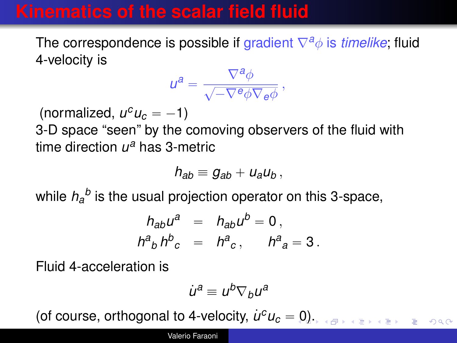## **Kinematics of the scalar field fluid**

The correspondence is possible if gradient ∇*a*φ is *timelike*; fluid 4-velocity is

$$
u^a = \frac{\nabla^a \phi}{\sqrt{-\nabla^e \phi \nabla_e \phi}}\,,
$$

 $(normalized, u<sup>c</sup>u<sub>c</sub> = -1)$ 

3-D space "seen" by the comoving observers of the fluid with time direction *u <sup>a</sup>* has 3-metric

$$
h_{ab}=g_{ab}+u_a u_b,
$$

while  $h_a^{\ b}$  is the usual projection operator on this 3-space,

$$
h_{ab}u^a = h_{ab}u^b = 0,
$$
  

$$
h^a{}_b h^b{}_c = h^a{}_c, \qquad h^a{}_a = 3.
$$

Fluid 4-acceleration is

$$
\dot{u}^a \equiv u^b \nabla_b u^a
$$

(of course, orthogonal to 4-velocity,  $\dot{u}^c u_c = 0$  $\dot{u}^c u_c = 0$ )[.](#page-6-0)  $\mathbf{A} \equiv \mathbf{A} \mathbf{A} + \mathbf{B} \mathbf{A}$  $OQ$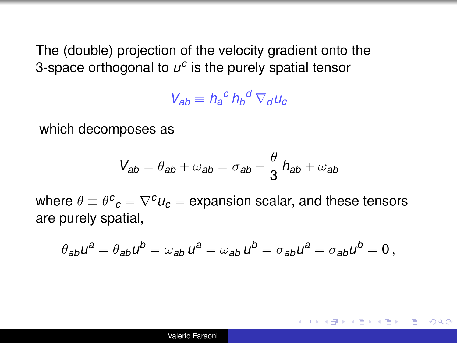<span id="page-6-0"></span>The (double) projection of the velocity gradient onto the 3-space orthogonal to  $u^c$  is the purely spatial tensor

 $V_{ab} \equiv h_a^c h_b^d \nabla_d u_c$ 

which decomposes as

$$
V_{ab} = \theta_{ab} + \omega_{ab} = \sigma_{ab} + \frac{\theta}{3} h_{ab} + \omega_{ab}
$$

where  $\theta \equiv \theta^{\bm{c}}{}_{{\bm{c}}} = \nabla^{\bm{c}} u_{{\bm{c}}} =$  expansion scalar, and these tensors are purely spatial,

$$
\theta_{ab}u^a = \theta_{ab}u^b = \omega_{ab}u^a = \omega_{ab}u^b = \sigma_{ab}u^a = \sigma_{ab}u^b = 0,
$$

重し

 $QQQ$ 

メ 倒 ト メ ヨ ト メ ヨ ト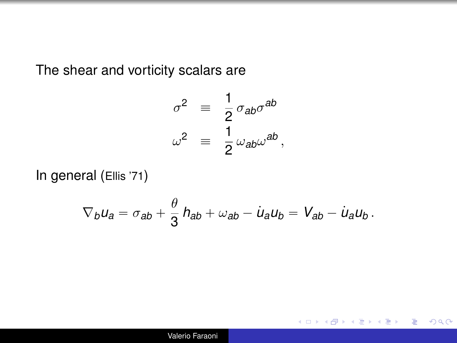The shear and vorticity scalars are

$$
\sigma^2 \equiv \frac{1}{2} \sigma_{ab} \sigma^{ab}
$$
  

$$
\omega^2 \equiv \frac{1}{2} \omega_{ab} \omega^{ab},
$$

In general (Ellis '71)

$$
\nabla_b u_a = \sigma_{ab} + \frac{\theta}{3} h_{ab} + \omega_{ab} - \dot{u}_a u_b = V_{ab} - \dot{u}_a u_b.
$$

÷.

イロト イ伊 トイヨ トイヨト

 $2990$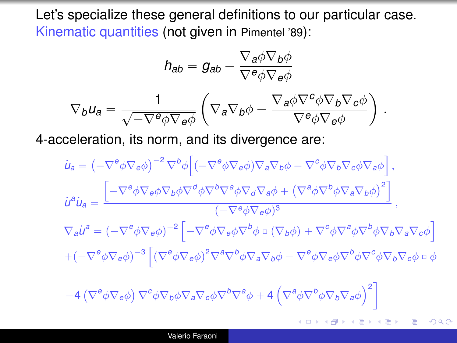Let's specialize these general definitions to our particular case. Kinematic quantities (not given in Pimentel '89):

$$
h_{ab} = g_{ab} - \frac{\nabla_a \phi \nabla_b \phi}{\nabla^e \phi \nabla_e \phi}
$$

$$
\nabla_b u_a = \frac{1}{\sqrt{-\nabla^e \phi \nabla_e \phi}} \left( \nabla_a \nabla_b \phi - \frac{\nabla_a \phi \nabla^c \phi \nabla_b \nabla_c \phi}{\nabla^e \phi \nabla_e \phi} \right)
$$

4-acceleration, its norm, and its divergence are:

$$
\dot{u}_{a} = \left(-\nabla^{\theta}\phi\nabla_{e}\phi\right)^{-2}\nabla^{b}\phi\left[\left(-\nabla^{\theta}\phi\nabla_{e}\phi\right)\nabla_{a}\nabla_{b}\phi + \nabla^{\phi}\phi\nabla_{b}\nabla_{c}\phi\nabla_{a}\phi\right],
$$
\n
$$
\dot{u}^{a}\dot{u}_{a} = \frac{\left[-\nabla^{\theta}\phi\nabla_{e}\phi\nabla_{b}\nabla^{\theta}\phi\nabla^{\theta}\nabla^{\theta}\nabla^{\theta}\nabla_{\theta}\nabla_{a}\phi + \left(\nabla^{\theta}\phi\nabla^{\theta}\phi\nabla_{a}\nabla_{b}\phi\right)^{2}\right]}{(-\nabla^{\theta}\phi\nabla_{e}\phi)^{3}},
$$
\n
$$
\nabla_{a}\dot{u}^{a} = \left(-\nabla^{\theta}\phi\nabla_{e}\phi\right)^{-2}\left[-\nabla^{\theta}\phi\nabla_{e}\phi\nabla^{\theta}\phi\circ(\nabla_{b}\phi) + \nabla^{\theta}\phi\nabla^{\theta}\phi\nabla_{\theta}\nabla^{\theta}\phi\nabla_{b}\nabla_{a}\nabla_{c}\phi\right]
$$
\n
$$
+(-\nabla^{\theta}\phi\nabla_{e}\phi)^{-3}\left[\left(\nabla^{\theta}\phi\nabla_{e}\phi\right)^{2}\nabla^{\theta}\nabla^{\theta}\phi\nabla_{a}\nabla_{b}\phi - \nabla^{\theta}\phi\nabla_{e}\phi\nabla^{\theta}\phi\nabla^{\theta}\phi\nabla_{b}\nabla_{c}\phi\circ\phi\right]
$$
\n
$$
-4\left(\nabla^{\theta}\phi\nabla_{e}\phi\right)\nabla^{\phi}\phi\nabla_{b}\phi\nabla_{a}\nabla_{c}\phi\nabla^{\theta}\nabla^{\theta}\phi + 4\left(\nabla^{\theta}\phi\nabla^{\theta}\phi\nabla_{b}\nabla_{a}\phi\right)^{2}\right]
$$

.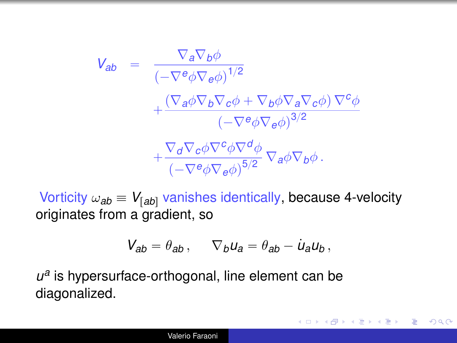$$
V_{ab} = \frac{\nabla_a \nabla_b \phi}{(-\nabla^e \phi \nabla_e \phi)^{1/2}} + \frac{(\nabla_a \phi \nabla_b \nabla_c \phi + \nabla_b \phi \nabla_a \nabla_c \phi) \nabla^c \phi}{(-\nabla^e \phi \nabla_e \phi)^{3/2}} + \frac{\nabla_d \nabla_c \phi \nabla^c \phi \nabla^d \phi}{(-\nabla^e \phi \nabla_e \phi)^{5/2}} \nabla_a \phi \nabla_b \phi.
$$

Vorticity  $\omega_{ab} \equiv V_{[ab]}$  vanishes identically, because 4-velocity originates from a gradient, so

$$
V_{ab} = \theta_{ab}, \qquad \nabla_b u_a = \theta_{ab} - \dot{u}_a u_b,
$$

イロト イ押 トイヨ トイヨ トー

÷.  $QQQ$ 

*u a* is hypersurface-orthogonal, line element can be diagonalized.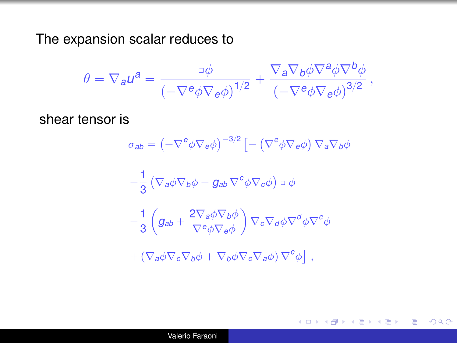The expansion scalar reduces to

$$
\theta = \nabla_{\mathbf{a}} u^{\mathbf{a}} = \frac{\Delta \phi}{\left(-\nabla^{\mathbf{e}} \phi \nabla_{\mathbf{e}} \phi\right)^{1/2}} + \frac{\nabla_{\mathbf{a}} \nabla_{\mathbf{b}} \phi \nabla^{\mathbf{a}} \phi \nabla^{\mathbf{b}} \phi}{\left(-\nabla^{\mathbf{e}} \phi \nabla_{\mathbf{e}} \phi\right)^{3/2}},
$$

shear tensor is

$$
\sigma_{ab} = \left(-\nabla^e \phi \nabla_e \phi\right)^{-3/2} \left[-\left(\nabla^e \phi \nabla_e \phi\right) \nabla_a \nabla_b \phi\right]
$$

$$
-\frac{1}{3} \left( \nabla_a \phi \nabla_b \phi - g_{ab} \nabla^c \phi \nabla_c \phi \right) \circ \phi
$$

$$
-\frac{1}{3} \left( g_{ab} + \frac{2 \nabla_a \phi \nabla_b \phi}{\nabla^e \phi \nabla_c \phi} \right) \nabla_c \nabla_d \phi \nabla^d \phi \nabla^c \phi
$$

$$
+ \left( \nabla_a \phi \nabla_c \nabla_b \phi + \nabla_b \phi \nabla_c \nabla_a \phi \right) \nabla^c \phi \right] \,,
$$

÷.  $299$ 

イロト イ押 トイヨ トイヨ トー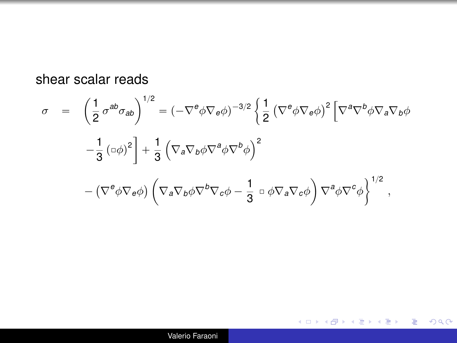shear scalar reads

$$
\sigma = \left(\frac{1}{2}\sigma^{ab}\sigma_{ab}\right)^{1/2} = \left(-\nabla^e\phi\nabla_e\phi\right)^{-3/2} \left\{\frac{1}{2}\left(\nabla^e\phi\nabla_e\phi\right)^2\left[\nabla^a\nabla^b\phi\nabla_a\nabla_b\phi\right.\right.\left.-\frac{1}{3}\left(\Box\phi\right)^2\right] + \frac{1}{3}\left(\nabla_a\nabla_b\phi\nabla^a\phi\nabla^b\phi\right)^2\left.-\left(\nabla^e\phi\nabla_e\phi\right)\left(\nabla_a\nabla_b\phi\nabla^b\nabla_c\phi - \frac{1}{3}\Box\phi\nabla_a\nabla_c\phi\right)\nabla^a\phi\nabla^c\phi\right\}^{1/2},
$$

K ロ → K 個 → K 君 → K 君 → 「君 → りなひ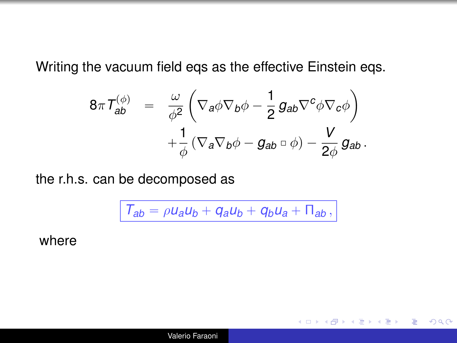Writing the vacuum field eqs as the effective Einstein eqs.

$$
8\pi T_{ab}^{(\phi)} = \frac{\omega}{\phi^2} \left( \nabla_a \phi \nabla_b \phi - \frac{1}{2} g_{ab} \nabla^c \phi \nabla_c \phi \right) + \frac{1}{\phi} \left( \nabla_a \nabla_b \phi - g_{ab} \circ \phi \right) - \frac{V}{2\phi} g_{ab}.
$$

the r.h.s. can be decomposed as

$$
T_{ab} = \rho u_a u_b + q_a u_b + q_b u_a + \Pi_{ab},
$$

÷.

 $\langle \oplus \rangle$  >  $\langle \oplus \rangle$  >  $\langle \oplus \rangle$ 

4日下

 $2990$ 

where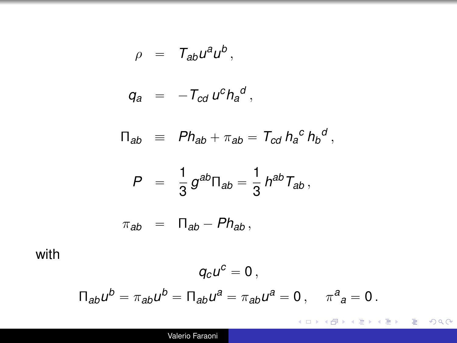$$
\rho = T_{ab}u^a u^b,
$$

$$
q_a = -T_{cd} u^c h_a^d,
$$

$$
\Pi_{ab} \equiv Ph_{ab} + \pi_{ab} = T_{cd} h_a^c h_b^d,
$$

$$
P\ \ =\ \ \frac{1}{3}\,g^{ab}\Pi_{ab}=\frac{1}{3}\,h^{ab}\,T_{ab}\,,
$$

$$
\pi_{ab} = \Pi_{ab} - Ph_{ab},
$$

with

$$
q_c u^c = 0,
$$
  

$$
\Pi_{ab} u^b = \pi_{ab} u^b = \Pi_{ab} u^a = \pi_{ab} u^a = 0, \quad \pi^a{}_a = 0.
$$

K ロ ▶ K 御 ▶ K 聖 ▶ K 聖 ▶ │ 聖 │ 約 9 0 º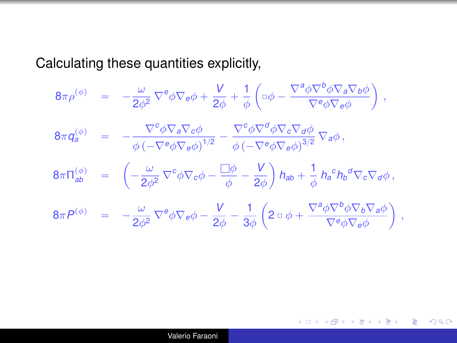Calculating these quantities explicitly,

$$
8\pi \rho^{(\phi)} = -\frac{\omega}{2\phi^2} \nabla^e \phi \nabla_\theta \phi + \frac{V}{2\phi} + \frac{1}{\phi} \left( \Box \phi - \frac{\nabla^a \phi \nabla^b \phi \nabla_a \nabla_b \phi}{\nabla^e \phi \nabla_\theta \phi} \right),
$$
  
\n
$$
8\pi q_a^{(\phi)} = -\frac{\nabla^c \phi \nabla_a \nabla_c \phi}{\phi \left( -\nabla^e \phi \nabla_\theta \phi \right)^{1/2}} - \frac{\nabla^c \phi \nabla^d \phi \nabla_c \nabla_d \phi}{\phi \left( -\nabla^e \phi \nabla_\theta \phi \right)^{3/2}} \nabla_a \phi,
$$
  
\n
$$
8\pi \Pi_{ab}^{(\phi)} = \left( -\frac{\omega}{2\phi^2} \nabla^c \phi \nabla_c \phi - \frac{\Box \phi}{\phi} - \frac{V}{2\phi} \right) h_{ab} + \frac{1}{\phi} h_a^c h_b^d \nabla_c \nabla_d \phi,
$$
  
\n
$$
8\pi P^{(\phi)} = -\frac{\omega}{2\phi^2} \nabla^e \phi \nabla_e \phi - \frac{V}{2\phi} - \frac{1}{3\phi} \left( 2 \Box \phi + \frac{\nabla^a \phi \nabla^b \phi \nabla_b \nabla_a \phi}{\nabla^e \phi \nabla_e \phi} \right),
$$

メロトメ 御 トメ 差 トメ 差 トー

 $\equiv$  990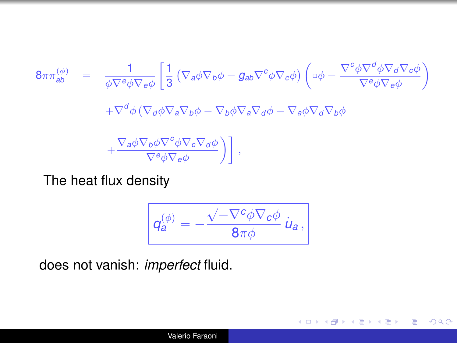$$
8\pi\pi_{ab}^{(\phi)} = \frac{1}{\phi\nabla^e\phi\nabla_e\phi} \left[ \frac{1}{3} \left( \nabla_a\phi\nabla_b\phi - g_{ab}\nabla^c\phi\nabla_c\phi \right) \left( \nabla_\phi - \frac{\nabla^c\phi\nabla^d\phi\nabla_d\nabla_c\phi}{\nabla^e\phi\nabla_e\phi} \right) \nabla^c\phi\nabla^c\phi \nabla^c\phi \right]
$$
\n
$$
+ \nabla^d\phi \left( \nabla_d\phi\nabla_a\nabla_b\phi - \nabla_b\phi\nabla_a\nabla_d\phi - \nabla_d\phi\nabla_d\nabla_b\phi \right)
$$
\n
$$
+ \frac{\nabla_a\phi\nabla_b\phi\nabla^c\phi\nabla_c\nabla_d\phi}{\nabla^e\phi\nabla_e\phi} \right],
$$

The heat flux density

$$
\boxed{q_a^{(\phi)}=-\frac{\sqrt{-\nabla^c\phi\nabla_c\phi}}{8\pi\phi}\,\dot{u}_a},
$$

ă.  $2990$ 

メロトメ 御 トメ 君 トメ 君 トー

does not vanish: *imperfect* fluid.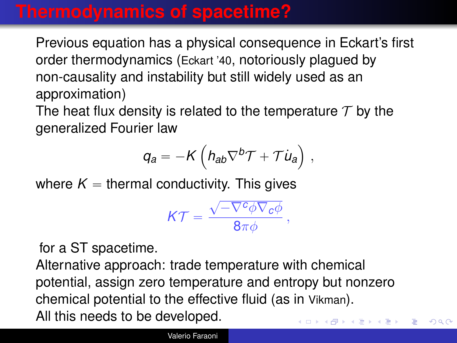### **Thermodynamics of spacetime?**

Previous equation has a physical consequence in Eckart's first order thermodynamics (Eckart '40, notoriously plagued by non-causality and instability but still widely used as an approximation)

The heat flux density is related to the temperature  $\tau$  by the generalized Fourier law

$$
q_a = -K \left( h_{ab} \nabla^b T + T \dot{u}_a \right) \,,
$$

where  $K =$  thermal conductivity. This gives

$$
\mathcal{K}\mathcal{T}=\frac{\sqrt{-\nabla^c\phi\nabla_c\phi}}{8\pi\phi}\,,
$$

for a ST spacetime.

Alternative approach: trade temperature with chemical potential, assign zero temperature and entropy but nonzero chemical potential to the effective fluid (as in Vikman). All this needs to be developed. イロト イ団ト イヨト イヨト

 $2990$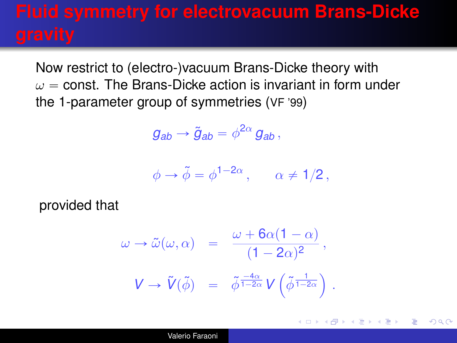# **Fluid symmetry for electrovacuum Brans-Dicke**

Now restrict to (electro-)vacuum Brans-Dicke theory with  $\omega$  = const. The Brans-Dicke action is invariant in form under the 1-parameter group of symmetries (VF '99)

$$
g_{ab}\rightarrow \tilde{g}_{ab}=\phi^{2\alpha}\,g_{ab}\,,
$$

$$
\phi \to \tilde{\phi} = \phi^{1-2\alpha}, \qquad \alpha \neq 1/2,
$$

provided that

$$
\omega \to \tilde{\omega}(\omega, \alpha) = \frac{\omega + 6\alpha(1 - \alpha)}{(1 - 2\alpha)^2},
$$

$$
V \to \tilde{V}(\tilde{\phi}) = \tilde{\phi}^{\frac{-4\alpha}{1 - 2\alpha}} V(\tilde{\phi}^{\frac{1}{1 - 2\alpha}}).
$$

イロト イ押 トイヨ トイヨト

G.  $QQ$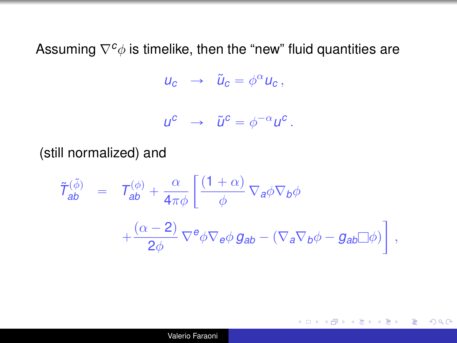Assuming  $\nabla^c$  *¢* is timelike, then the "new" fluid quantities are

$$
u_c \rightarrow \tilde{u}_c = \phi^\alpha u_c,
$$

$$
u^c \rightarrow \tilde{u}^c = \phi^{-\alpha} u^c.
$$

(still normalized) and

$$
\tilde{\mathcal{T}}_{ab}^{(\tilde{\phi})} = \mathcal{T}_{ab}^{(\phi)} + \frac{\alpha}{4\pi\phi} \left[ \frac{(1+\alpha)}{\phi} \nabla_a \phi \nabla_b \phi \right. \\
\left. + \frac{(\alpha-2)}{2\phi} \nabla^e \phi \nabla_e \phi \, g_{ab} - (\nabla_a \nabla_b \phi - g_{ab} \Box \phi) \right],
$$

イロト 不優 トメ 君 トメ 君 トー

重。  $2990$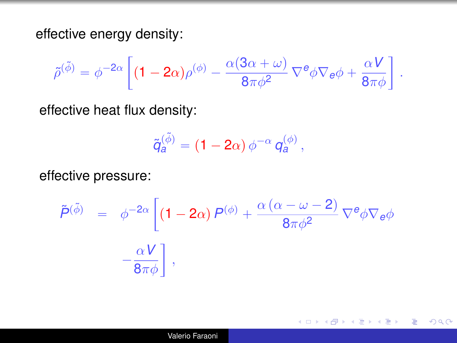effective energy density:

$$
\tilde{\rho}^{(\tilde{\phi})} = \phi^{-2\alpha} \left[ (1 - 2\alpha) \rho^{(\phi)} - \frac{\alpha (3\alpha + \omega)}{8\pi \phi^2} \nabla^e \phi \nabla_e \phi + \frac{\alpha V}{8\pi \phi} \right] .
$$

effective heat flux density:

$$
\tilde{q}_a^{(\tilde{\phi})} = (1 - 2\alpha) \,\phi^{-\alpha} \, q_a^{(\phi)} \,,
$$

effective pressure:

$$
\tilde{P}^{(\tilde{\phi})} = \phi^{-2\alpha} \left[ (1 - 2\alpha) P^{(\phi)} + \frac{\alpha (\alpha - \omega - 2)}{8\pi \phi^2} \nabla^e \phi \nabla_e \phi \right. \\
\left. - \frac{\alpha V}{8\pi \phi} \right],
$$

 $299$ 

G.

イロメ イ押 メイヨメ イヨメ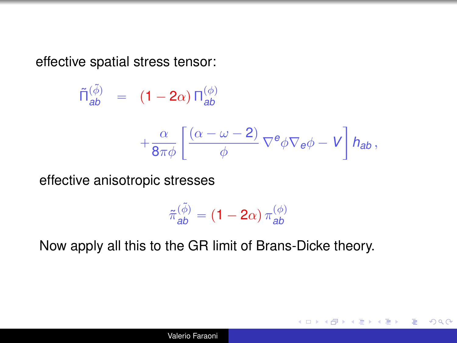effective spatial stress tensor:

$$
\tilde{\Pi}_{ab}^{(\tilde{\phi})} = (1 - 2\alpha) \Pi_{ab}^{(\phi)}
$$

$$
+ \frac{\alpha}{8\pi\phi} \left[ \frac{(\alpha - \omega - 2)}{\phi} \nabla^e \phi \nabla_e \phi - V \right] h_{ab},
$$

effective anisotropic stresses

$$
\tilde{\pi}_{\textbf{ab}}^{(\tilde{\phi})} = \left(1 - 2\alpha\right)\pi_{\textbf{ab}}^{(\phi)}
$$

イロト イ押 トイヨ トイヨト

G.  $QQ$ 

Now apply all this to the GR limit of Brans-Dicke theory.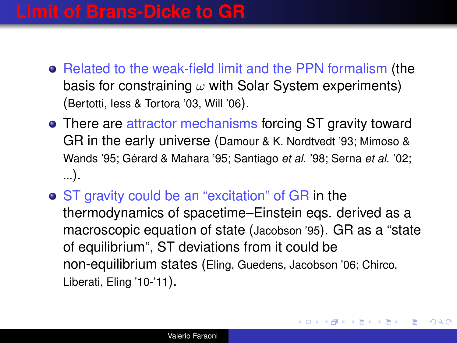### **Limit of Brans-Dicke to GR**

- Related to the weak-field limit and the PPN formalism (the basis for constraining  $\omega$  with Solar System experiments) (Bertotti, Iess & Tortora '03, Will '06).
- There are attractor mechanisms forcing ST gravity toward GR in the early universe (Damour & K. Nordtvedt '93; Mimoso & Wands '95; Gérard & Mahara '95; Santiago *et al.* '98; Serna *et al.* '02; ...).
- ST gravity could be an "excitation" of GR in the thermodynamics of spacetime–Einstein eqs. derived as a macroscopic equation of state (Jacobson '95). GR as a "state of equilibrium", ST deviations from it could be non-equilibrium states (Eling, Guedens, Jacobson '06; Chirco, Liberati, Eling '10-'11).

4 ロ ) (何 ) (日 ) (日 )

 $QQ$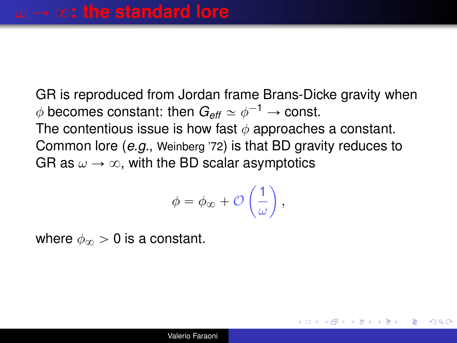GR is reproduced from Jordan frame Brans-Dicke gravity when  $\phi$  becomes constant: then  $G_{\textit{eff}} \simeq \phi^{-1} \rightarrow \text{const.}$ The contentious issue is how fast  $\phi$  approaches a constant. Common lore (*e.g.*, Weinberg '72) is that BD gravity reduces to GR as  $\omega \rightarrow \infty$ , with the BD scalar asymptotics

$$
\phi = \phi_{\infty} + \mathcal{O}\left(\frac{1}{\omega}\right),
$$

**≮ロト ⊀何 ト ⊀ ヨ ト ⊀ ヨ ト** 

G.

つへへ

where  $\phi_{\infty} > 0$  is a constant.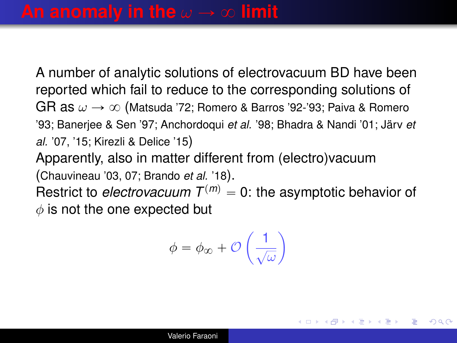A number of analytic solutions of electrovacuum BD have been reported which fail to reduce to the corresponding solutions of GR as  $\omega \rightarrow \infty$  (Matsuda '72; Romero & Barros '92-'93; Paiva & Romero '93; Banerjee & Sen '97; Anchordoqui *et al.* '98; Bhadra & Nandi '01; Järv *et al.* '07, '15; Kirezli & Delice '15)

Apparently, also in matter different from (electro)vacuum (Chauvineau '03, 07; Brando *et al.* '18).

Restrict to *electrovacuum*  $T^{(m)} = 0$ : the asymptotic behavior of  $\phi$  is not the one expected but

$$
\phi = \phi_{\infty} + \mathcal{O}\left(\frac{1}{\sqrt{\omega}}\right)
$$

**K ロ ト K 何 ト K ヨ ト K ヨ ト** 

 $QQ$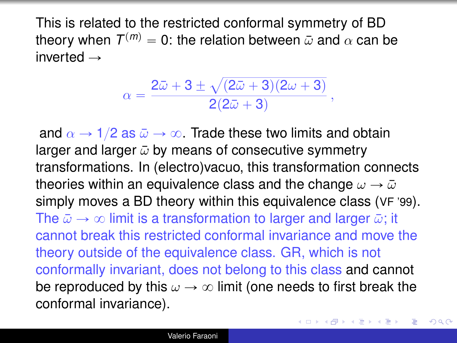<span id="page-24-0"></span>This is related to the restricted conformal symmetry of BD theory when  $\mathcal{T}^{(m)} = 0$ : the relation between  $\bar{\omega}$  and  $\alpha$  can be inverted  $\rightarrow$ 

$$
\alpha=\frac{2\bar\omega+3\pm\sqrt{(2\bar\omega+3)(2\omega+3)}}{2(2\bar\omega+3)}\,,
$$

and  $\alpha \rightarrow 1/2$  as  $\bar{\omega} \rightarrow \infty$ . Trade these two limits and obtain larger and larger  $\bar{\omega}$  by means of consecutive symmetry transformations. In (electro)vacuo, this transformation connects theories within an equivalence class and the change  $\omega \rightarrow \bar{\omega}$ simply moves a BD theory within this equivalence class (VF '99). The  $\bar{\omega} \rightarrow \infty$  limit is a transformation to larger and larger  $\bar{\omega}$ ; it cannot break this restricted conformal invariance and move the theory outside of the equivalence class. GR, which is not conformally invariant, does not belong to this class and cannot be reproduced by this  $\omega \rightarrow \infty$  limit (one needs to first break the conformal invariance).

4 ロ ) (何 ) (日 ) (日 )

 $2Q$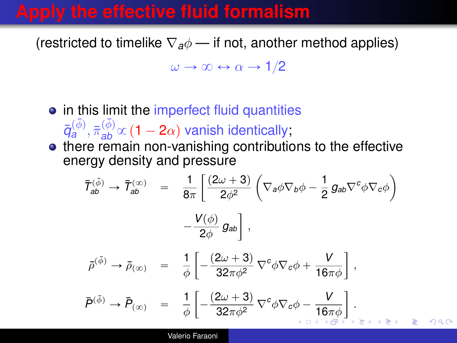### <span id="page-25-0"></span>**Apply the effective fluid formalism**

(restricted to timelike  $\nabla_a \phi$  — if not, another method applies)

 $\omega \rightarrow \infty \leftrightarrow \alpha \rightarrow 1/2$ 

- in this limit the imperfect fluid quantities  $\bar{q}_{a}^{(\bar{\phi})}, \bar{\pi}_{ab}^{(\bar{\phi})}\propto$  (1 – 2 $\alpha$ ) vanish identically;
- there remain non-vanishing contributions to the effective energy density and pressure " ˆ ˙

$$
\overline{I}_{ab}^{(\bar{\phi})} \rightarrow \overline{I}_{ab}^{(\infty)} = \frac{1}{8\pi} \left[ \frac{(2\omega + 3)}{2\phi^2} \left( \nabla_a \phi \nabla_b \phi - \frac{1}{2} g_{ab} \nabla^c \phi \nabla_c \phi \right) \right. \left. - \frac{V(\phi)}{2\phi} g_{ab} \right],
$$
\n
$$
\overline{\rho}^{(\bar{\phi})} \rightarrow \overline{\rho}_{(\infty)} = \frac{1}{\phi} \left[ -\frac{(2\omega + 3)}{32\pi\phi^2} \nabla^c \phi \nabla_c \phi + \frac{V}{16\pi\phi} \right],
$$
\n
$$
\overline{P}^{(\bar{\phi})} \rightarrow \overline{P}_{(\infty)} = \frac{1}{\phi} \left[ -\frac{(2\omega + 3)}{32\pi\phi^2} \nabla^c \phi \nabla_c \phi - \frac{V}{16\pi\phi} \right].
$$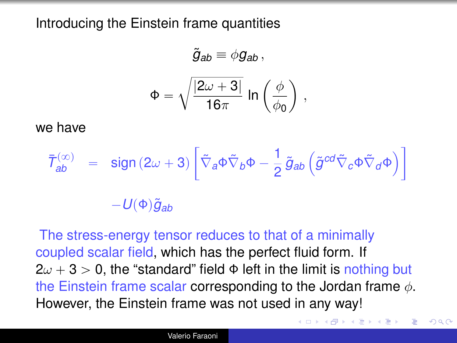<span id="page-26-0"></span>Introducing the Einstein frame quantities

$$
\tilde{g}_{ab} \equiv \phi g_{ab} ,
$$
\n
$$
\Phi = \sqrt{\frac{|2\omega + 3|}{16\pi}} \ln \left(\frac{\phi}{\phi_0}\right) ,
$$

we have

$$
\bar{\mathcal{T}}_{ab}^{(\infty)} = \text{sign} (2\omega + 3) \left[ \tilde{\nabla}_a \Phi \tilde{\nabla}_b \Phi - \frac{1}{2} \tilde{g}_{ab} \left( \tilde{g}^{cd} \tilde{\nabla}_c \Phi \tilde{\nabla}_d \Phi \right) \right]
$$

$$
- U(\Phi) \tilde{g}_{ab}
$$

The stress-energy tensor reduces to that of a minimally coupled scalar field, which has the perfect fluid form. If  $2\omega + 3 > 0$ , the "standard" field  $\Phi$  left in the limit is nothing but the Einstein frame scalar corresponding to the Jordan frame  $\phi$ . However, the Einstein frame was not used in any way!

ă.

 $2Q$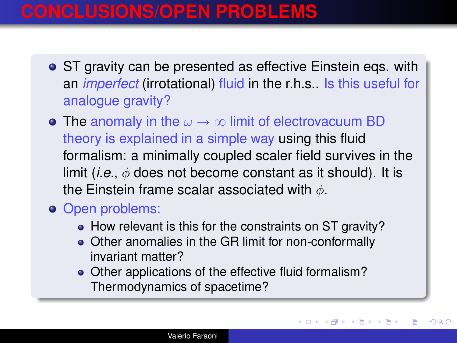### **CONCLUSIONS/OPEN PROBLEMS**

- ST gravity can be presented as effective Einstein egs. with an *imperfect* (irrotational) fluid in the r.h.s.. Is this useful for analogue gravity?
- The anomaly in the  $\omega \rightarrow \infty$  limit of electrovacuum BD theory is explained in a simple way using this fluid formalism: a minimally coupled scaler field survives in the limit (*i.e.*,  $\phi$  does not become constant as it should). It is the Einstein frame scalar associated with  $\phi$ .
- **o** Open problems:
	- How relevant is this for the constraints on ST gravity?
	- Other anomalies in the GR limit for non-conformally invariant matter?
	- Other applications of the effective fluid formalism? Thermodynamics of spacetime?

**≮ロト ⊀ 何 ト ⊀ ヨ ト ⊀ ヨ ト** 

 $2Q$